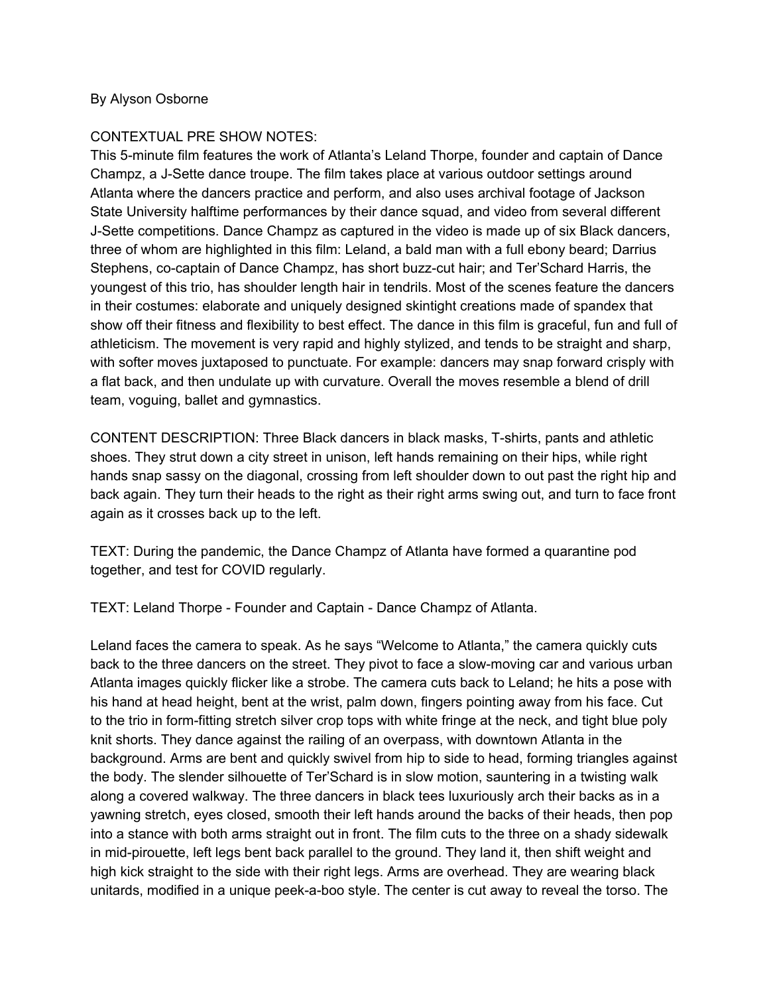## By Alyson Osborne

## CONTEXTUAL PRE SHOW NOTES:

This 5-minute film features the work of Atlanta's Leland Thorpe, founder and captain of Dance Champz, a J-Sette dance troupe. The film takes place at various outdoor settings around Atlanta where the dancers practice and perform, and also uses archival footage of Jackson State University halftime performances by their dance squad, and video from several different J-Sette competitions. Dance Champz as captured in the video is made up of six Black dancers, three of whom are highlighted in this film: Leland, a bald man with a full ebony beard; Darrius Stephens, co-captain of Dance Champz, has short buzz-cut hair; and Ter'Schard Harris, the youngest of this trio, has shoulder length hair in tendrils. Most of the scenes feature the dancers in their costumes: elaborate and uniquely designed skintight creations made of spandex that show off their fitness and flexibility to best effect. The dance in this film is graceful, fun and full of athleticism. The movement is very rapid and highly stylized, and tends to be straight and sharp, with softer moves juxtaposed to punctuate. For example: dancers may snap forward crisply with a flat back, and then undulate up with curvature. Overall the moves resemble a blend of drill team, voguing, ballet and gymnastics.

CONTENT DESCRIPTION: Three Black dancers in black masks, T-shirts, pants and athletic shoes. They strut down a city street in unison, left hands remaining on their hips, while right hands snap sassy on the diagonal, crossing from left shoulder down to out past the right hip and back again. They turn their heads to the right as their right arms swing out, and turn to face front again as it crosses back up to the left.

TEXT: During the pandemic, the Dance Champz of Atlanta have formed a quarantine pod together, and test for COVID regularly.

TEXT: Leland Thorpe - Founder and Captain - Dance Champz of Atlanta.

Leland faces the camera to speak. As he says "Welcome to Atlanta," the camera quickly cuts back to the three dancers on the street. They pivot to face a slow-moving car and various urban Atlanta images quickly flicker like a strobe. The camera cuts back to Leland; he hits a pose with his hand at head height, bent at the wrist, palm down, fingers pointing away from his face. Cut to the trio in form-fitting stretch silver crop tops with white fringe at the neck, and tight blue poly knit shorts. They dance against the railing of an overpass, with downtown Atlanta in the background. Arms are bent and quickly swivel from hip to side to head, forming triangles against the body. The slender silhouette of Ter'Schard is in slow motion, sauntering in a twisting walk along a covered walkway. The three dancers in black tees luxuriously arch their backs as in a yawning stretch, eyes closed, smooth their left hands around the backs of their heads, then pop into a stance with both arms straight out in front. The film cuts to the three on a shady sidewalk in mid-pirouette, left legs bent back parallel to the ground. They land it, then shift weight and high kick straight to the side with their right legs. Arms are overhead. They are wearing black unitards, modified in a unique peek-a-boo style. The center is cut away to reveal the torso. The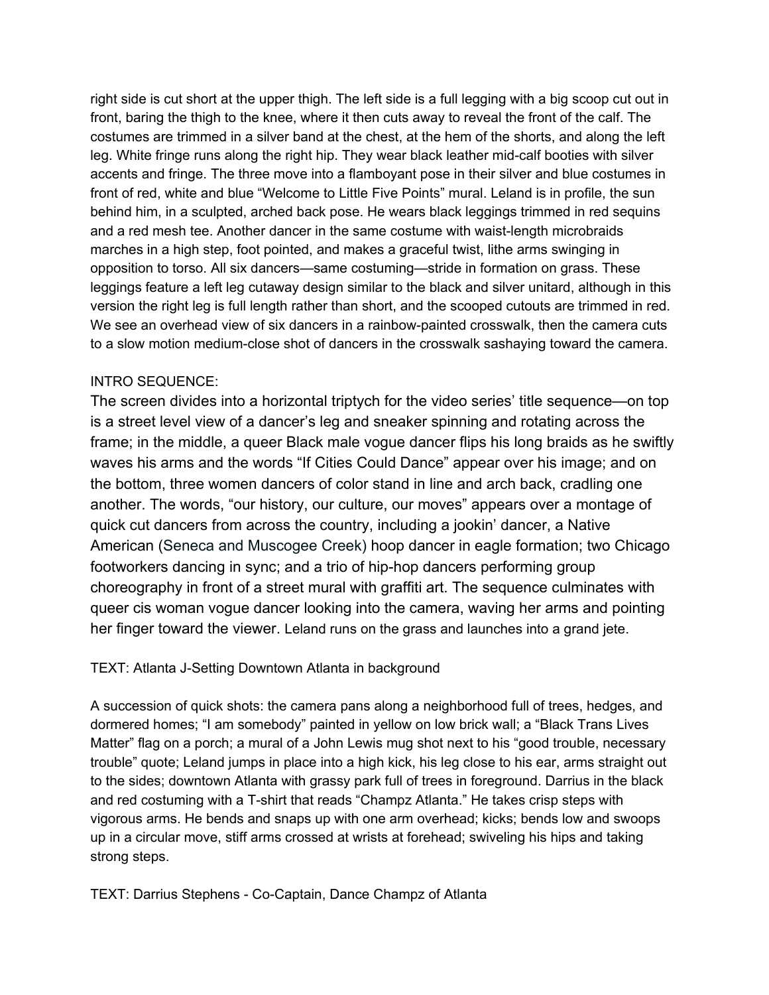right side is cut short at the upper thigh. The left side is a full legging with a big scoop cut out in front, baring the thigh to the knee, where it then cuts away to reveal the front of the calf. The costumes are trimmed in a silver band at the chest, at the hem of the shorts, and along the left leg. White fringe runs along the right hip. They wear black leather mid-calf booties with silver accents and fringe. The three move into a flamboyant pose in their silver and blue costumes in front of red, white and blue "Welcome to Little Five Points" mural. Leland is in profile, the sun behind him, in a sculpted, arched back pose. He wears black leggings trimmed in red sequins and a red mesh tee. Another dancer in the same costume with waist-length microbraids marches in a high step, foot pointed, and makes a graceful twist, lithe arms swinging in opposition to torso. All six dancers—same costuming—stride in formation on grass. These leggings feature a left leg cutaway design similar to the black and silver unitard, although in this version the right leg is full length rather than short, and the scooped cutouts are trimmed in red. We see an overhead view of six dancers in a rainbow-painted crosswalk, then the camera cuts to a slow motion medium-close shot of dancers in the crosswalk sashaying toward the camera.

## INTRO SEQUENCE:

The screen divides into a horizontal triptych for the video series' title sequence—on top is a street level view of a dancer's leg and sneaker spinning and rotating across the frame; in the middle, a queer Black male vogue dancer flips his long braids as he swiftly waves his arms and the words "If Cities Could Dance" appear over his image; and on the bottom, three women dancers of color stand in line and arch back, cradling one another. The words, "our history, our culture, our moves" appears over a montage of quick cut dancers from across the country, including a jookin' dancer, a Native American (Seneca and Muscogee Creek) hoop dancer in eagle formation; two Chicago footworkers dancing in sync; and a trio of hip-hop dancers performing group choreography in front of a street mural with graffiti art. The sequence culminates with queer cis woman vogue dancer looking into the camera, waving her arms and pointing her finger toward the viewer. Leland runs on the grass and launches into a grand jete.

## TEXT: Atlanta J-Setting Downtown Atlanta in background

A succession of quick shots: the camera pans along a neighborhood full of trees, hedges, and dormered homes; "I am somebody" painted in yellow on low brick wall; a "Black Trans Lives Matter" flag on a porch; a mural of a John Lewis mug shot next to his "good trouble, necessary trouble" quote; Leland jumps in place into a high kick, his leg close to his ear, arms straight out to the sides; downtown Atlanta with grassy park full of trees in foreground. Darrius in the black and red costuming with a T-shirt that reads "Champz Atlanta." He takes crisp steps with vigorous arms. He bends and snaps up with one arm overhead; kicks; bends low and swoops up in a circular move, stiff arms crossed at wrists at forehead; swiveling his hips and taking strong steps.

TEXT: Darrius Stephens - Co-Captain, Dance Champz of Atlanta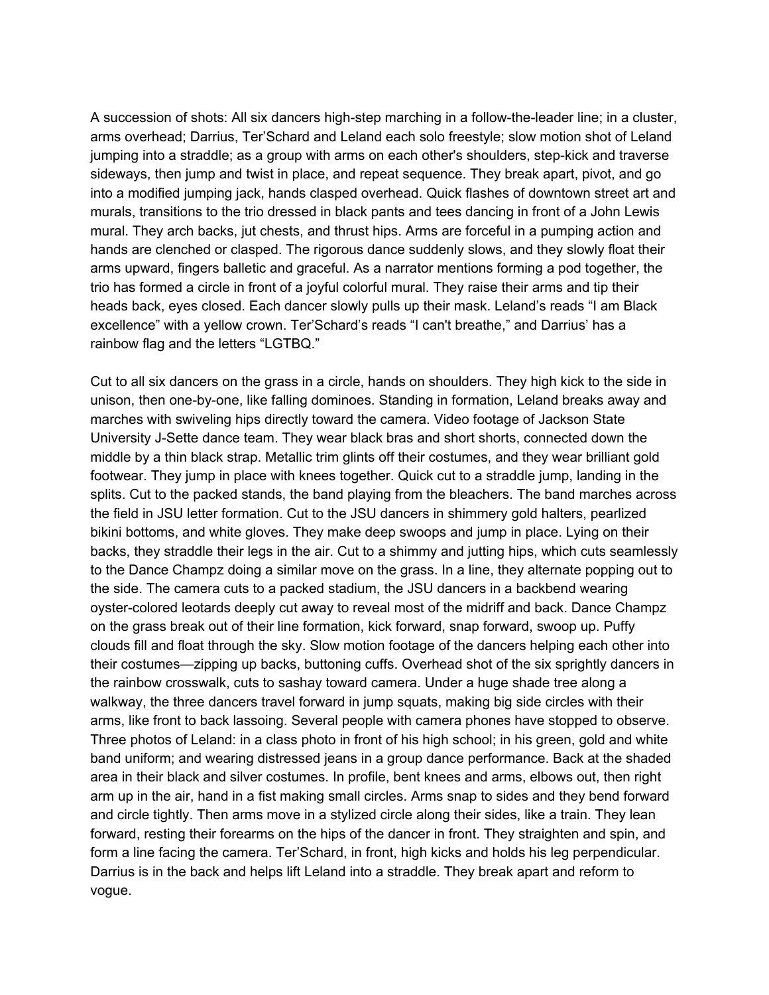A succession of shots: All six dancers high-step marching in a follow-the-leader line; in a cluster, arms overhead; Darrius, Ter'Schard and Leland each solo freestyle; slow motion shot of Leland jumping into a straddle; as a group with arms on each other's shoulders, step-kick and traverse sideways, then jump and twist in place, and repeat sequence. They break apart, pivot, and go into a modified jumping jack, hands clasped overhead. Quick flashes of downtown street art and murals, transitions to the trio dressed in black pants and tees dancing in front of a John Lewis mural. They arch backs, jut chests, and thrust hips. Arms are forceful in a pumping action and hands are clenched or clasped. The rigorous dance suddenly slows, and they slowly float their arms upward, fingers balletic and graceful. As a narrator mentions forming a pod together, the trio has formed a circle in front of a joyful colorful mural. They raise their arms and tip their heads back, eyes closed. Each dancer slowly pulls up their mask. Leland's reads "I am Black excellence" with a yellow crown. Ter'Schard's reads "I can't breathe," and Darrius' has a rainbow flag and the letters "LGTBQ."

Cut to all six dancers on the grass in a circle, hands on shoulders. They high kick to the side in unison, then one-by-one, like falling dominoes. Standing in formation, Leland breaks away and marches with swiveling hips directly toward the camera. Video footage of Jackson State University J-Sette dance team. They wear black bras and short shorts, connected down the middle by a thin black strap. Metallic trim glints off their costumes, and they wear brilliant gold footwear. They jump in place with knees together. Quick cut to a straddle jump, landing in the splits. Cut to the packed stands, the band playing from the bleachers. The band marches across the field in JSU letter formation. Cut to the JSU dancers in shimmery gold halters, pearlized bikini bottoms, and white gloves. They make deep swoops and jump in place. Lying on their backs, they straddle their legs in the air. Cut to a shimmy and jutting hips, which cuts seamlessly to the Dance Champz doing a similar move on the grass. In a line, they alternate popping out to the side. The camera cuts to a packed stadium, the JSU dancers in a backbend wearing oyster-colored leotards deeply cut away to reveal most of the midriff and back. Dance Champz on the grass break out of their line formation, kick forward, snap forward, swoop up. Puffy clouds fill and float through the sky. Slow motion footage of the dancers helping each other into their costumes—zipping up backs, buttoning cuffs. Overhead shot of the six sprightly dancers in the rainbow crosswalk, cuts to sashay toward camera. Under a huge shade tree along a walkway, the three dancers travel forward in jump squats, making big side circles with their arms, like front to back lassoing. Several people with camera phones have stopped to observe. Three photos of Leland: in a class photo in front of his high school; in his green, gold and white band uniform; and wearing distressed jeans in a group dance performance. Back at the shaded area in their black and silver costumes. In profile, bent knees and arms, elbows out, then right arm up in the air, hand in a fist making small circles. Arms snap to sides and they bend forward and circle tightly. Then arms move in a stylized circle along their sides, like a train. They lean forward, resting their forearms on the hips of the dancer in front. They straighten and spin, and form a line facing the camera. Ter'Schard, in front, high kicks and holds his leg perpendicular. Darrius is in the back and helps lift Leland into a straddle. They break apart and reform to vogue.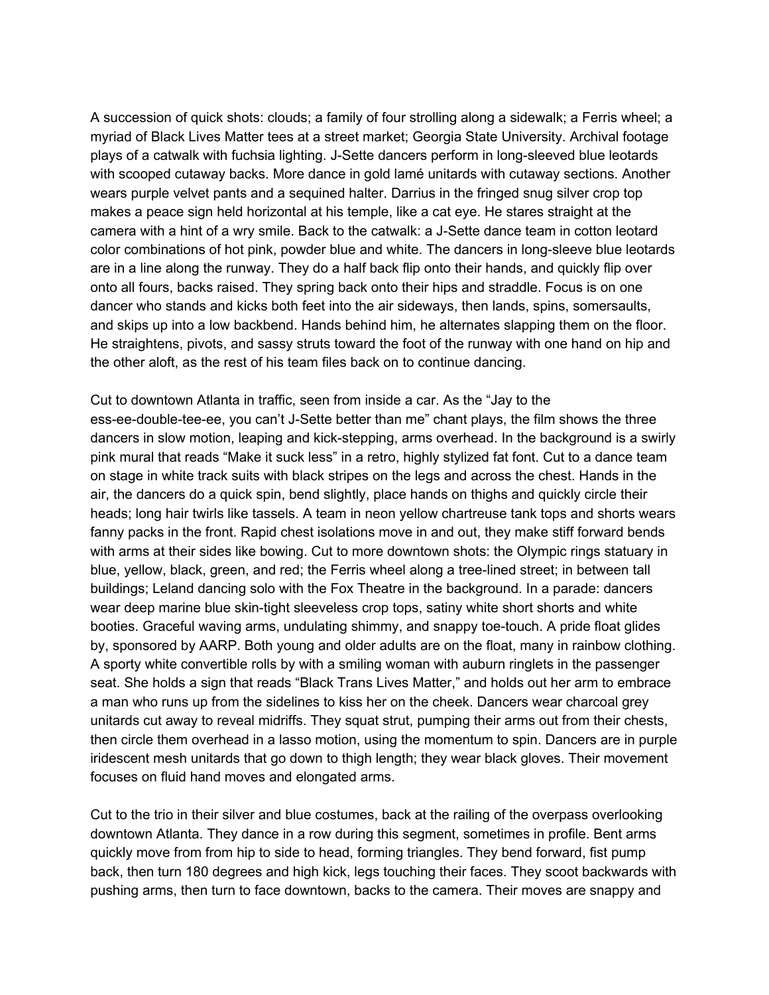A succession of quick shots: clouds; a family of four strolling along a sidewalk; a Ferris wheel; a myriad of Black Lives Matter tees at a street market; Georgia State University. Archival footage plays of a catwalk with fuchsia lighting. J-Sette dancers perform in long-sleeved blue leotards with scooped cutaway backs. More dance in gold lamé unitards with cutaway sections. Another wears purple velvet pants and a sequined halter. Darrius in the fringed snug silver crop top makes a peace sign held horizontal at his temple, like a cat eye. He stares straight at the camera with a hint of a wry smile. Back to the catwalk: a J-Sette dance team in cotton leotard color combinations of hot pink, powder blue and white. The dancers in long-sleeve blue leotards are in a line along the runway. They do a half back flip onto their hands, and quickly flip over onto all fours, backs raised. They spring back onto their hips and straddle. Focus is on one dancer who stands and kicks both feet into the air sideways, then lands, spins, somersaults, and skips up into a low backbend. Hands behind him, he alternates slapping them on the floor. He straightens, pivots, and sassy struts toward the foot of the runway with one hand on hip and the other aloft, as the rest of his team files back on to continue dancing.

Cut to downtown Atlanta in traffic, seen from inside a car. As the "Jay to the ess-ee-double-tee-ee, you can't J-Sette better than me" chant plays, the film shows the three dancers in slow motion, leaping and kick-stepping, arms overhead. In the background is a swirly pink mural that reads "Make it suck less" in a retro, highly stylized fat font. Cut to a dance team on stage in white track suits with black stripes on the legs and across the chest. Hands in the air, the dancers do a quick spin, bend slightly, place hands on thighs and quickly circle their heads; long hair twirls like tassels. A team in neon yellow chartreuse tank tops and shorts wears fanny packs in the front. Rapid chest isolations move in and out, they make stiff forward bends with arms at their sides like bowing. Cut to more downtown shots: the Olympic rings statuary in blue, yellow, black, green, and red; the Ferris wheel along a tree-lined street; in between tall buildings; Leland dancing solo with the Fox Theatre in the background. In a parade: dancers wear deep marine blue skin-tight sleeveless crop tops, satiny white short shorts and white booties. Graceful waving arms, undulating shimmy, and snappy toe-touch. A pride float glides by, sponsored by AARP. Both young and older adults are on the float, many in rainbow clothing. A sporty white convertible rolls by with a smiling woman with auburn ringlets in the passenger seat. She holds a sign that reads "Black Trans Lives Matter," and holds out her arm to embrace a man who runs up from the sidelines to kiss her on the cheek. Dancers wear charcoal grey unitards cut away to reveal midriffs. They squat strut, pumping their arms out from their chests, then circle them overhead in a lasso motion, using the momentum to spin. Dancers are in purple iridescent mesh unitards that go down to thigh length; they wear black gloves. Their movement focuses on fluid hand moves and elongated arms.

Cut to the trio in their silver and blue costumes, back at the railing of the overpass overlooking downtown Atlanta. They dance in a row during this segment, sometimes in profile. Bent arms quickly move from from hip to side to head, forming triangles. They bend forward, fist pump back, then turn 180 degrees and high kick, legs touching their faces. They scoot backwards with pushing arms, then turn to face downtown, backs to the camera. Their moves are snappy and